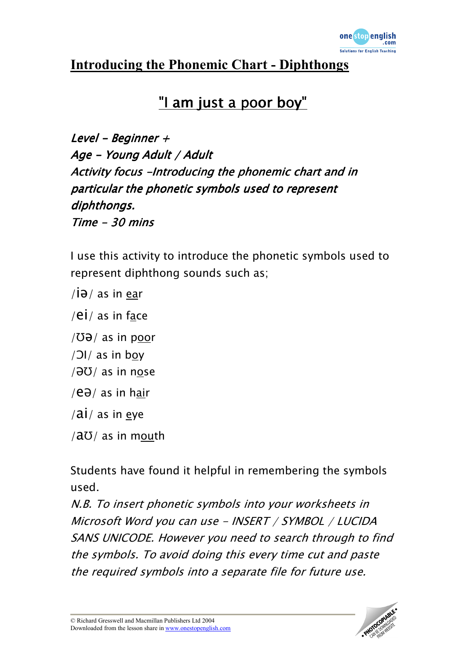

## Introducing the Phonemic Chart - Diphthongs

## "I am just a poor boy"

Level - Beginner  $+$ Age - Young Adult / Adult Activity focus -Introducing the phonemic chart and in particular the phonetic symbols used to represent diphthongs.  $Time - 30 mins$ 

I use this activity to introduce the phonetic symbols used to represent diphthong sounds such as;

- $/i\partial/\partial$  as in ear
- /ei/ as in face
- $/\text{O}\vartheta$  as in poor
- /ƆI/ as in boy
- $/\partial U /$  as in nose
- /eƏ/ as in hair
- $/\overline{ai}/$  as in eye
- $/\text{a}U/\text{as}$  in mouth

Students have found it helpful in remembering the symbols used.

N.B. To insert phonetic symbols into your worksheets in Microsoft Word you can use - INSERT / SYMBOL / LUCIDA SANS UNICODE. However you need to search through to find the symbols. To avoid doing this every time cut and paste the required symbols into a separate file for future use.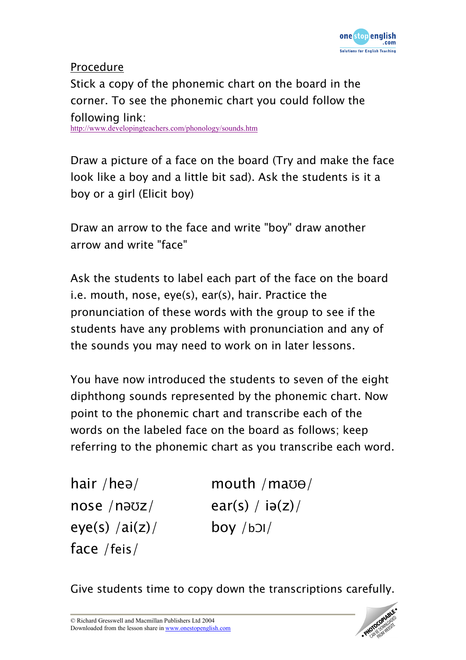

## Procedure Stick a copy of the phonemic chart on the board in the corner. To see the phonemic chart you could follow the following link: http://www.developingteachers.com/phonology/sounds.htm

Draw a picture of a face on the board (Try and make the face look like a boy and a little bit sad). Ask the students is it a boy or a girl (Elicit boy)

Draw an arrow to the face and write "boy" draw another arrow and write "face"

Ask the students to label each part of the face on the board i.e. mouth, nose, eye(s), ear(s), hair. Practice the pronunciation of these words with the group to see if the students have any problems with pronunciation and any of the sounds you may need to work on in later lessons.

You have now introduced the students to seven of the eight diphthong sounds represented by the phonemic chart. Now point to the phonemic chart and transcribe each of the words on the labeled face on the board as follows; keep referring to the phonemic chart as you transcribe each word.

eye(s)  $/ai(z)/$  boy  $/b$ face /feis/

hair /heə/  $m$ outh /ma $\sigma$ /  $nose /nəvz/$  ear(s) / iə(z)/

Give students time to copy down the transcriptions carefully.